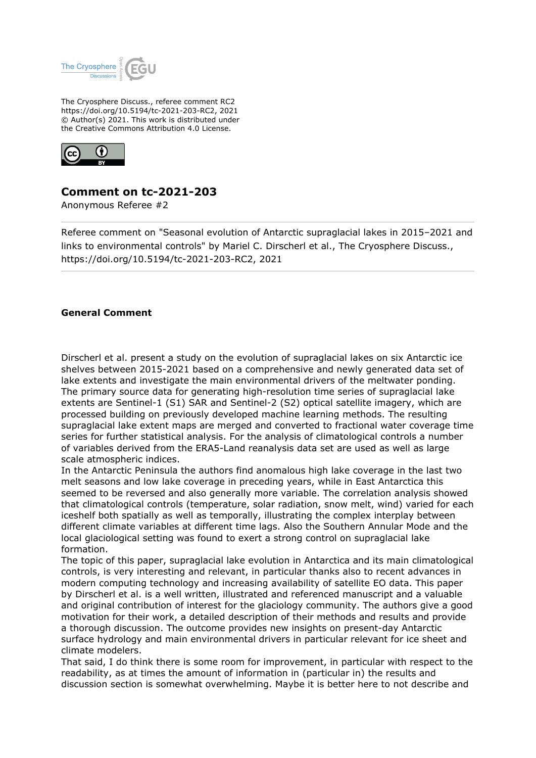

The Cryosphere Discuss., referee comment RC2 https://doi.org/10.5194/tc-2021-203-RC2, 2021 © Author(s) 2021. This work is distributed under the Creative Commons Attribution 4.0 License.



## **Comment on tc-2021-203**

Anonymous Referee #2

Referee comment on "Seasonal evolution of Antarctic supraglacial lakes in 2015–2021 and links to environmental controls" by Mariel C. Dirscherl et al., The Cryosphere Discuss., https://doi.org/10.5194/tc-2021-203-RC2, 2021

## **General Comment**

Dirscherl et al. present a study on the evolution of supraglacial lakes on six Antarctic ice shelves between 2015-2021 based on a comprehensive and newly generated data set of lake extents and investigate the main environmental drivers of the meltwater ponding. The primary source data for generating high-resolution time series of supraglacial lake extents are Sentinel-1 (S1) SAR and Sentinel-2 (S2) optical satellite imagery, which are processed building on previously developed machine learning methods. The resulting supraglacial lake extent maps are merged and converted to fractional water coverage time series for further statistical analysis. For the analysis of climatological controls a number of variables derived from the ERA5-Land reanalysis data set are used as well as large scale atmospheric indices.

In the Antarctic Peninsula the authors find anomalous high lake coverage in the last two melt seasons and low lake coverage in preceding years, while in East Antarctica this seemed to be reversed and also generally more variable. The correlation analysis showed that climatological controls (temperature, solar radiation, snow melt, wind) varied for each iceshelf both spatially as well as temporally, illustrating the complex interplay between different climate variables at different time lags. Also the Southern Annular Mode and the local glaciological setting was found to exert a strong control on supraglacial lake formation.

The topic of this paper, supraglacial lake evolution in Antarctica and its main climatological controls, is very interesting and relevant, in particular thanks also to recent advances in modern computing technology and increasing availability of satellite EO data. This paper by Dirscherl et al. is a well written, illustrated and referenced manuscript and a valuable and original contribution of interest for the glaciology community. The authors give a good motivation for their work, a detailed description of their methods and results and provide a thorough discussion. The outcome provides new insights on present-day Antarctic surface hydrology and main environmental drivers in particular relevant for ice sheet and climate modelers.

That said, I do think there is some room for improvement, in particular with respect to the readability, as at times the amount of information in (particular in) the results and discussion section is somewhat overwhelming. Maybe it is better here to not describe and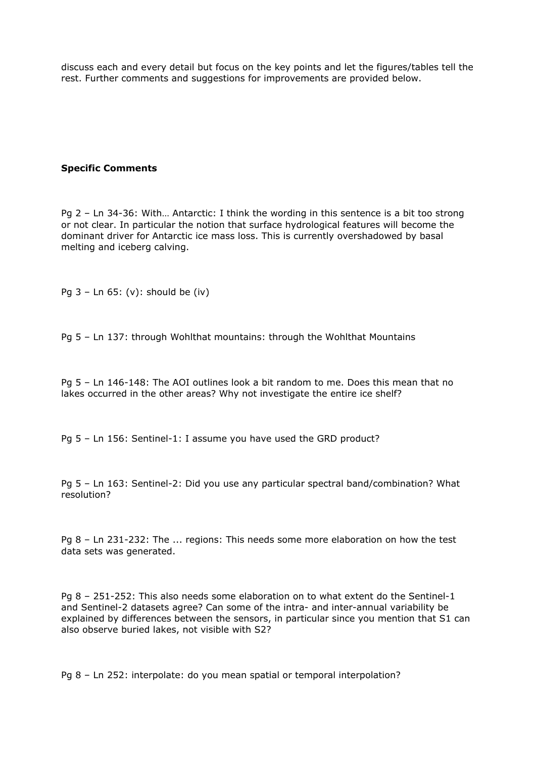discuss each and every detail but focus on the key points and let the figures/tables tell the rest. Further comments and suggestions for improvements are provided below.

## **Specific Comments**

Pg 2 – Ln 34-36: With… Antarctic: I think the wording in this sentence is a bit too strong or not clear. In particular the notion that surface hydrological features will become the dominant driver for Antarctic ice mass loss. This is currently overshadowed by basal melting and iceberg calving.

Pg 3 – Ln 65: (v): should be (iv)

Pg 5 – Ln 137: through Wohlthat mountains: through the Wohlthat Mountains

Pg 5 – Ln 146-148: The AOI outlines look a bit random to me. Does this mean that no lakes occurred in the other areas? Why not investigate the entire ice shelf?

Pg 5 – Ln 156: Sentinel-1: I assume you have used the GRD product?

Pg 5 – Ln 163: Sentinel-2: Did you use any particular spectral band/combination? What resolution?

Pg 8 – Ln 231-232: The ... regions: This needs some more elaboration on how the test data sets was generated.

Pg 8 – 251-252: This also needs some elaboration on to what extent do the Sentinel-1 and Sentinel-2 datasets agree? Can some of the intra- and inter-annual variability be explained by differences between the sensors, in particular since you mention that S1 can also observe buried lakes, not visible with S2?

Pg 8 – Ln 252: interpolate: do you mean spatial or temporal interpolation?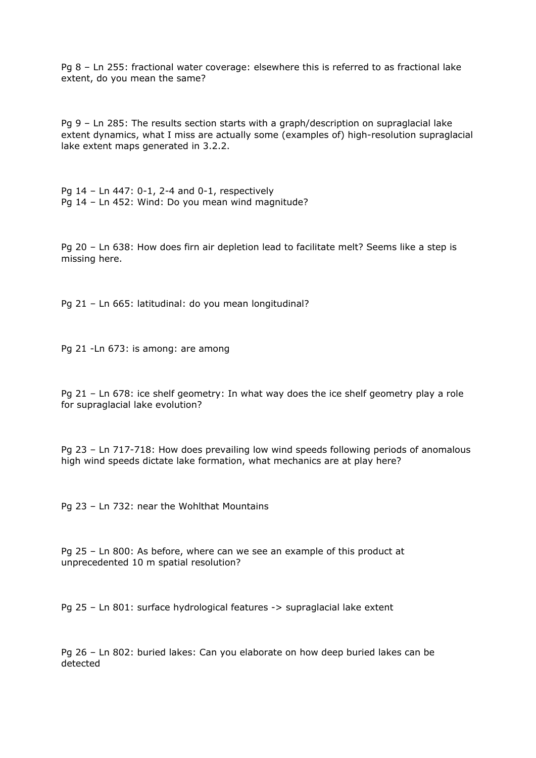Pg 8 – Ln 255: fractional water coverage: elsewhere this is referred to as fractional lake extent, do you mean the same?

Pg 9 – Ln 285: The results section starts with a graph/description on supraglacial lake extent dynamics, what I miss are actually some (examples of) high-resolution supraglacial lake extent maps generated in 3.2.2.

Pg 14 – Ln 447: 0-1, 2-4 and 0-1, respectively Pg 14 – Ln 452: Wind: Do you mean wind magnitude?

Pg 20 – Ln 638: How does firn air depletion lead to facilitate melt? Seems like a step is missing here.

Pg 21 – Ln 665: latitudinal: do you mean longitudinal?

Pg 21 -Ln 673: is among: are among

Pg 21 – Ln 678: ice shelf geometry: In what way does the ice shelf geometry play a role for supraglacial lake evolution?

Pg 23 – Ln 717-718: How does prevailing low wind speeds following periods of anomalous high wind speeds dictate lake formation, what mechanics are at play here?

Pg 23 – Ln 732: near the Wohlthat Mountains

Pg 25 – Ln 800: As before, where can we see an example of this product at unprecedented 10 m spatial resolution?

Pg 25 – Ln 801: surface hydrological features -> supraglacial lake extent

Pg 26 – Ln 802: buried lakes: Can you elaborate on how deep buried lakes can be detected